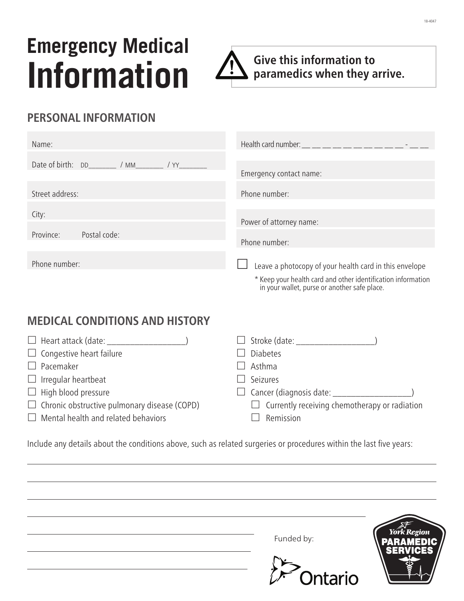# **Emergency Medical Information**



**Give this information to paramedics when they arrive.**

in your wallet, purse or another safe place.

## **PERSONAL INFORMATION**

| Name:                     |                                                                                                                        |
|---------------------------|------------------------------------------------------------------------------------------------------------------------|
|                           | Emergency contact name:                                                                                                |
| Street address:           | Phone number:                                                                                                          |
| City:                     | Power of attorney name:                                                                                                |
| Postal code:<br>Province: | Phone number:                                                                                                          |
| Phone number:             | Leave a photocopy of your health card in this envelope<br>* Keep your health card and other identification information |

## **MEDICAL CONDITIONS AND HISTORY**

|                                                     | $\Box$ Stroke (date: $\Box$                          |
|-----------------------------------------------------|------------------------------------------------------|
| $\Box$ Congestive heart failure                     | <b>Diabetes</b>                                      |
| $\Box$ Pacemaker                                    | Asthma                                               |
| $\Box$ Irregular heartbeat                          | Seizures                                             |
| $\Box$ High blood pressure                          | $\Box$ Cancer (diagnosis date: $\Box$                |
| $\Box$ Chronic obstructive pulmonary disease (COPD) | $\Box$ Currently receiving chemotherapy or radiation |
| $\Box$ Mental health and related behaviors          | Remission                                            |
|                                                     |                                                      |

Include any details about the conditions above, such as related surgeries or procedures within the last five years:

| Funded by: | York Region          |
|------------|----------------------|
|            | <b>SERVICES</b><br>R |
| Ontario    | ヘル                   |